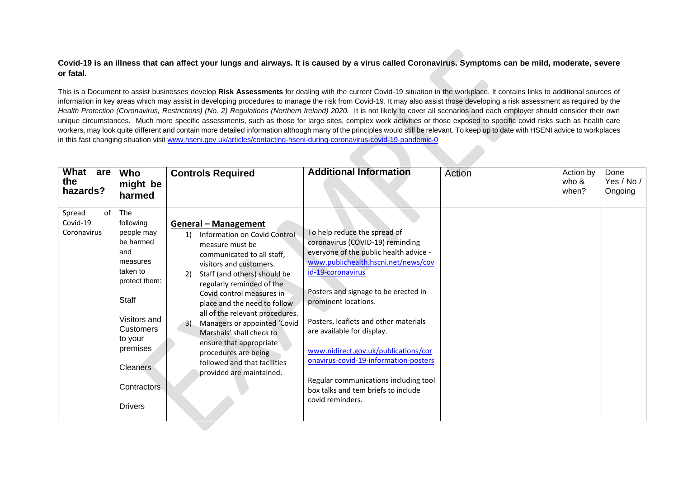## **Covid-19 is an illness that can affect your lungs and airways. It is caused by a virus called Coronavirus. Symptoms can be mild, moderate, severe or fatal.**

This is a Document to assist businesses develop **Risk Assessments** for dealing with the current Covid-19 situation in the workplace. It contains links to additional sources of information in key areas which may assist in developing procedures to manage the risk from Covid-19. It may also assist those developing a risk assessment as required by the Health Protection (Coronavirus, Restrictions) (No. 2) Regulations (Northern Ireland) 2020. It is not likely to cover all scenarios and each employer should consider their own unique circumstances. Much more specific assessments, such as those for large sites, complex work activities or those exposed to specific covid risks such as health care workers, may look quite different and contain more detailed information although many of the principles would still be relevant. To keep up to date with HSENI advice to workplaces in this fast changing situation visit [www.hseni.gov.uk/articles/contacting-hseni-during-coronavirus-covid-19-pandemic-0](http://www.hseni.gov.uk/articles/contacting-hseni-during-coronavirus-covid-19-pandemic-0)

| What<br>are<br>the<br>hazards?          | Who<br>might be<br>harmed                                                                                                                                                                                                  | <b>Controls Required</b>                                                                                                                                                                                                                                                                                                                                                                                                                                                                    | <b>Additional Information</b>                                                                                                                                                                                                                                                                                                                                                                                                                                                                      | Action | Action by<br>who &<br>when? | Done<br>Yes / No /<br>Ongoing |
|-----------------------------------------|----------------------------------------------------------------------------------------------------------------------------------------------------------------------------------------------------------------------------|---------------------------------------------------------------------------------------------------------------------------------------------------------------------------------------------------------------------------------------------------------------------------------------------------------------------------------------------------------------------------------------------------------------------------------------------------------------------------------------------|----------------------------------------------------------------------------------------------------------------------------------------------------------------------------------------------------------------------------------------------------------------------------------------------------------------------------------------------------------------------------------------------------------------------------------------------------------------------------------------------------|--------|-----------------------------|-------------------------------|
| of<br>Spread<br>Covid-19<br>Coronavirus | The<br>following<br>people may<br>be harmed<br>and<br>measures<br>taken to<br>protect them:<br>Staff<br>Visitors and<br><b>Customers</b><br>to your<br>premises<br><b>Cleaners</b><br><b>Contractors</b><br><b>Drivers</b> | <b>General - Management</b><br>Information on Covid Control<br>1)<br>measure must be<br>communicated to all staff,<br>visitors and customers.<br>Staff (and others) should be<br>regularly reminded of the<br>Covid control measures in<br>place and the need to follow<br>all of the relevant procedures.<br>Managers or appointed 'Covid<br>3)<br>Marshals' shall check to<br>ensure that appropriate<br>procedures are being<br>followed and that facilities<br>provided are maintained. | To help reduce the spread of<br>coronavirus (COVID-19) reminding<br>everyone of the public health advice -<br>www.publichealth.hscni.net/news/cov<br>id-19-coronavirus<br>Posters and signage to be erected in<br>prominent locations.<br>Posters, leaflets and other materials<br>are available for display.<br>www.nidirect.gov.uk/publications/cor<br>onavirus-covid-19-information-posters<br>Regular communications including tool<br>box talks and tem briefs to include<br>covid reminders. |        |                             |                               |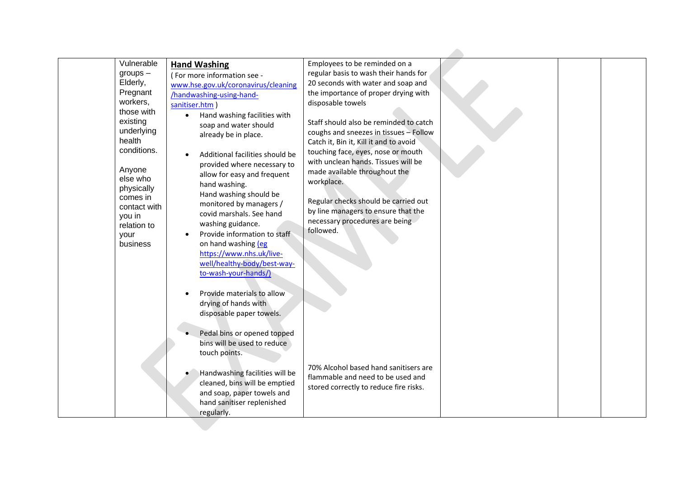| $groups -$<br>Elderly,<br>Pregnant<br>workers,<br>existing<br>health<br>Anyone<br>else who<br>physically<br>comes in<br>you in<br>relation to<br>your<br>business | Vulnerable<br>those with<br>underlying<br>conditions.<br>contact with | <b>Hand Washing</b><br>(For more information see -<br>www.hse.gov.uk/coronavirus/cleaning<br>/handwashing-using-hand-<br>sanitiser.htm<br>Hand washing facilities with<br>$\bullet$<br>soap and water should<br>already be in place.<br>Additional facilities should be<br>provided where necessary to<br>allow for easy and frequent<br>hand washing.<br>Hand washing should be<br>monitored by managers /<br>covid marshals. See hand<br>washing guidance.<br>Provide information to staff<br>$\bullet$<br>on hand washing (eg<br>https://www.nhs.uk/live- | Employees to be reminded on a<br>regular basis to wash their hands for<br>20 seconds with water and soap and<br>the importance of proper drying with<br>disposable towels<br>Staff should also be reminded to catch<br>coughs and sneezes in tissues - Follow<br>Catch it, Bin it, Kill it and to avoid<br>touching face, eyes, nose or mouth<br>with unclean hands. Tissues will be<br>made available throughout the<br>workplace.<br>Regular checks should be carried out<br>by line managers to ensure that the<br>necessary procedures are being<br>followed. |  |  |
|-------------------------------------------------------------------------------------------------------------------------------------------------------------------|-----------------------------------------------------------------------|--------------------------------------------------------------------------------------------------------------------------------------------------------------------------------------------------------------------------------------------------------------------------------------------------------------------------------------------------------------------------------------------------------------------------------------------------------------------------------------------------------------------------------------------------------------|-------------------------------------------------------------------------------------------------------------------------------------------------------------------------------------------------------------------------------------------------------------------------------------------------------------------------------------------------------------------------------------------------------------------------------------------------------------------------------------------------------------------------------------------------------------------|--|--|
|                                                                                                                                                                   |                                                                       | well/healthy-body/best-way-<br>to-wash-your-hands/)<br>Provide materials to allow<br>drying of hands with<br>disposable paper towels.<br>Pedal bins or opened topped<br>bins will be used to reduce<br>touch points.<br>Handwashing facilities will be<br>cleaned, bins will be emptied<br>and soap, paper towels and<br>hand sanitiser replenished<br>regularly.                                                                                                                                                                                            | 70% Alcohol based hand sanitisers are<br>flammable and need to be used and<br>stored correctly to reduce fire risks.                                                                                                                                                                                                                                                                                                                                                                                                                                              |  |  |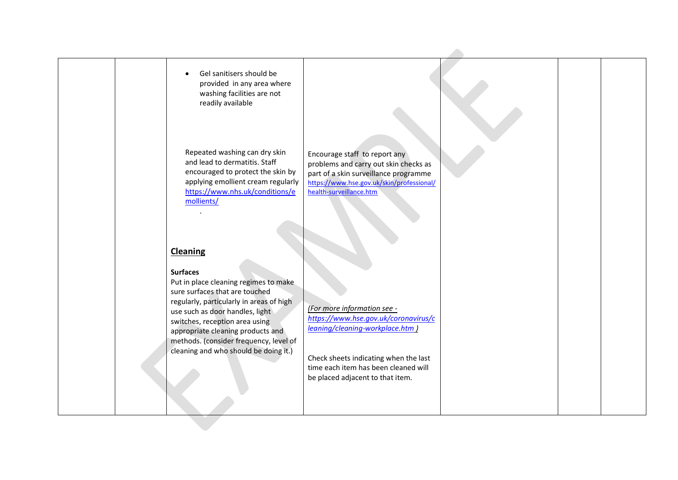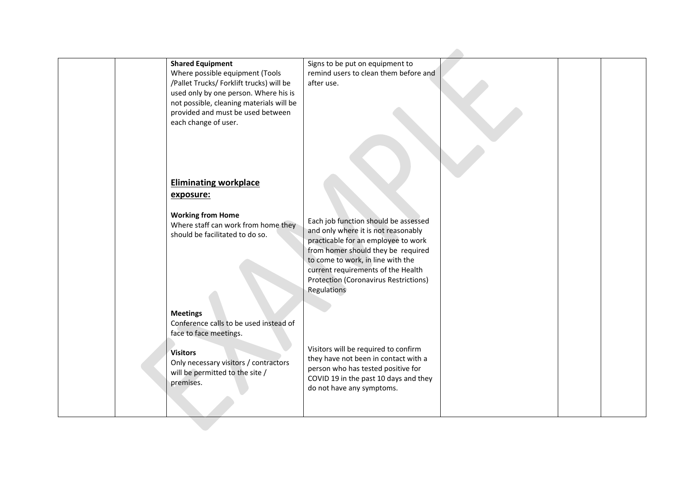|  | <b>Shared Equipment</b>                                                           | Signs to be put on equipment to                                             |  |  |
|--|-----------------------------------------------------------------------------------|-----------------------------------------------------------------------------|--|--|
|  | Where possible equipment (Tools<br>/Pallet Trucks/ Forklift trucks) will be       | remind users to clean them before and<br>after use.                         |  |  |
|  | used only by one person. Where his is<br>not possible, cleaning materials will be |                                                                             |  |  |
|  | provided and must be used between                                                 |                                                                             |  |  |
|  | each change of user.                                                              |                                                                             |  |  |
|  |                                                                                   |                                                                             |  |  |
|  |                                                                                   |                                                                             |  |  |
|  | <b>Eliminating workplace</b>                                                      |                                                                             |  |  |
|  | exposure:                                                                         |                                                                             |  |  |
|  | <b>Working from Home</b>                                                          |                                                                             |  |  |
|  | Where staff can work from home they                                               | Each job function should be assessed<br>and only where it is not reasonably |  |  |
|  | should be facilitated to do so.                                                   | practicable for an employee to work                                         |  |  |
|  |                                                                                   | from homer should they be required<br>to come to work, in line with the     |  |  |
|  |                                                                                   | current requirements of the Health                                          |  |  |
|  |                                                                                   | <b>Protection (Coronavirus Restrictions)</b><br>Regulations                 |  |  |
|  |                                                                                   |                                                                             |  |  |
|  | <b>Meetings</b><br>Conference calls to be used instead of                         |                                                                             |  |  |
|  | face to face meetings.                                                            |                                                                             |  |  |
|  | <b>Visitors</b>                                                                   | Visitors will be required to confirm                                        |  |  |
|  | Only necessary visitors / contractors                                             | they have not been in contact with a<br>person who has tested positive for  |  |  |
|  | will be permitted to the site /<br>premises.                                      | COVID 19 in the past 10 days and they                                       |  |  |
|  |                                                                                   | do not have any symptoms.                                                   |  |  |
|  |                                                                                   |                                                                             |  |  |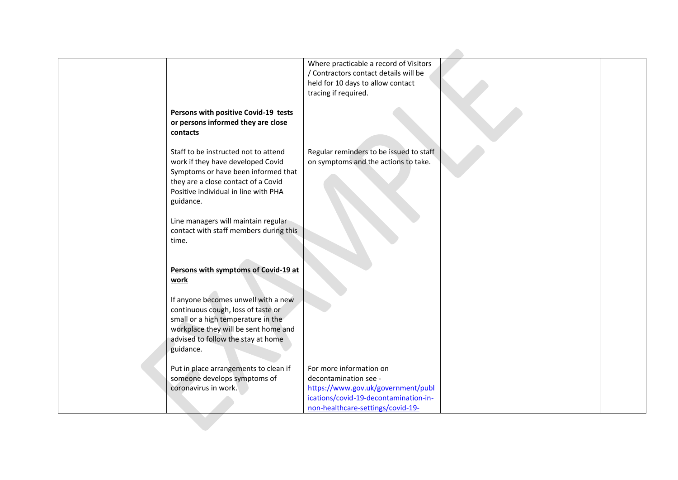|                                                                                                                                                                                                              | Where practicable a record of Visitors<br>/ Contractors contact details will be<br>held for 10 days to allow contact<br>tracing if required.                         |  |
|--------------------------------------------------------------------------------------------------------------------------------------------------------------------------------------------------------------|----------------------------------------------------------------------------------------------------------------------------------------------------------------------|--|
| Persons with positive Covid-19 tests<br>or persons informed they are close<br>contacts                                                                                                                       |                                                                                                                                                                      |  |
| Staff to be instructed not to attend<br>work if they have developed Covid<br>Symptoms or have been informed that<br>they are a close contact of a Covid<br>Positive individual in line with PHA<br>guidance. | Regular reminders to be issued to staff<br>on symptoms and the actions to take.                                                                                      |  |
| Line managers will maintain regular<br>contact with staff members during this<br>time.                                                                                                                       |                                                                                                                                                                      |  |
| Persons with symptoms of Covid-19 at<br>work                                                                                                                                                                 |                                                                                                                                                                      |  |
| If anyone becomes unwell with a new<br>continuous cough, loss of taste or<br>small or a high temperature in the<br>workplace they will be sent home and<br>advised to follow the stay at home<br>guidance.   |                                                                                                                                                                      |  |
| Put in place arrangements to clean if<br>someone develops symptoms of<br>coronavirus in work.                                                                                                                | For more information on<br>decontamination see -<br>https://www.gov.uk/government/publ<br>ications/covid-19-decontamination-in-<br>non-healthcare-settings/covid-19- |  |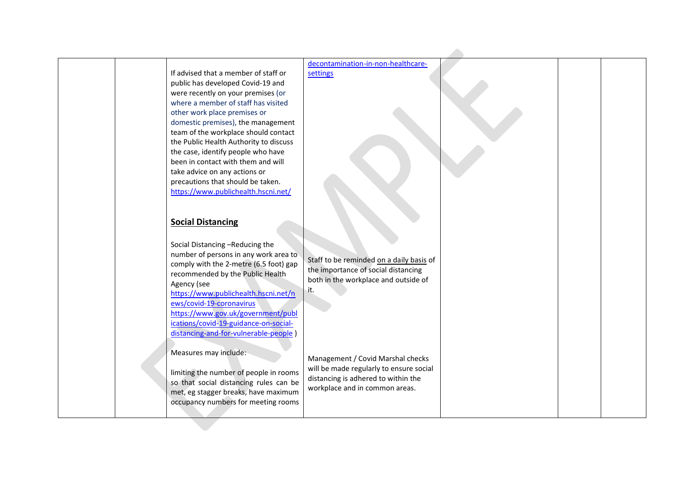| If advised that a member of staff or<br>public has developed Covid-19 and<br>were recently on your premises (or<br>where a member of staff has visited<br>other work place premises or<br>domestic premises), the management<br>team of the workplace should contact<br>the Public Health Authority to discuss<br>the case, identify people who have<br>been in contact with them and will<br>take advice on any actions or<br>precautions that should be taken.<br>https://www.publichealth.hscni.net/<br><b>Social Distancing</b><br>Social Distancing -Reducing the<br>number of persons in any work area to<br>comply with the 2-metre (6.5 foot) gap<br>recommended by the Public Health<br>Agency (see<br>https://www.publichealth.hscni.net/n<br>ews/covid-19-coronavirus<br>https://www.gov.uk/government/publ<br>ications/covid-19-guidance-on-social- | decontamination-in-non-healthcare-<br>settings<br>Staff to be reminded on a daily basis of<br>the importance of social distancing<br>both in the workplace and outside of<br>it. |  |  |
|-----------------------------------------------------------------------------------------------------------------------------------------------------------------------------------------------------------------------------------------------------------------------------------------------------------------------------------------------------------------------------------------------------------------------------------------------------------------------------------------------------------------------------------------------------------------------------------------------------------------------------------------------------------------------------------------------------------------------------------------------------------------------------------------------------------------------------------------------------------------|----------------------------------------------------------------------------------------------------------------------------------------------------------------------------------|--|--|
| distancing-and-for-vulnerable-people<br>Measures may include:<br>limiting the number of people in rooms<br>so that social distancing rules can be<br>met, eg stagger breaks, have maximum<br>occupancy numbers for meeting rooms                                                                                                                                                                                                                                                                                                                                                                                                                                                                                                                                                                                                                                | Management / Covid Marshal checks<br>will be made regularly to ensure social<br>distancing is adhered to within the<br>workplace and in common areas.                            |  |  |
|                                                                                                                                                                                                                                                                                                                                                                                                                                                                                                                                                                                                                                                                                                                                                                                                                                                                 |                                                                                                                                                                                  |  |  |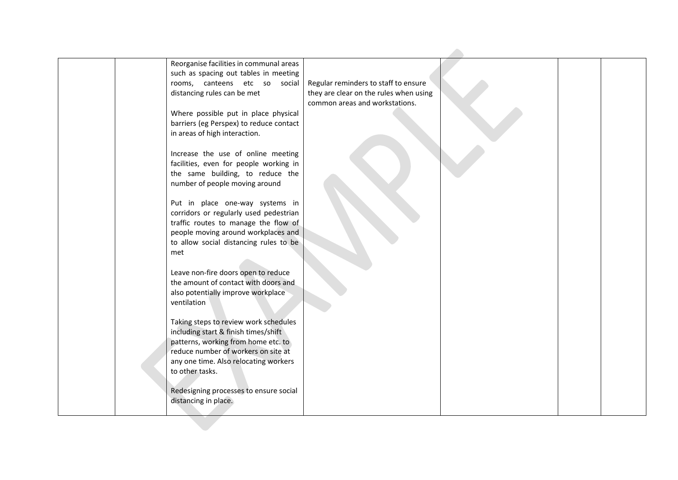|     | Reorganise facilities in communal areas<br>such as spacing out tables in meeting |                                        |  |  |
|-----|----------------------------------------------------------------------------------|----------------------------------------|--|--|
|     | rooms, canteens etc so social                                                    | Regular reminders to staff to ensure   |  |  |
|     | distancing rules can be met                                                      | they are clear on the rules when using |  |  |
|     |                                                                                  | common areas and workstations.         |  |  |
|     | Where possible put in place physical                                             |                                        |  |  |
|     | barriers (eg Perspex) to reduce contact                                          |                                        |  |  |
|     | in areas of high interaction.                                                    |                                        |  |  |
|     |                                                                                  |                                        |  |  |
|     | Increase the use of online meeting                                               |                                        |  |  |
|     | facilities, even for people working in                                           |                                        |  |  |
|     | the same building, to reduce the                                                 |                                        |  |  |
|     | number of people moving around                                                   |                                        |  |  |
|     |                                                                                  |                                        |  |  |
|     | Put in place one-way systems in                                                  |                                        |  |  |
|     | corridors or regularly used pedestrian                                           |                                        |  |  |
|     | traffic routes to manage the flow of                                             |                                        |  |  |
|     | people moving around workplaces and                                              |                                        |  |  |
|     | to allow social distancing rules to be                                           |                                        |  |  |
| met |                                                                                  |                                        |  |  |
|     |                                                                                  |                                        |  |  |
|     | Leave non-fire doors open to reduce                                              |                                        |  |  |
|     | the amount of contact with doors and                                             |                                        |  |  |
|     | also potentially improve workplace<br>ventilation                                |                                        |  |  |
|     |                                                                                  |                                        |  |  |
|     | Taking steps to review work schedules                                            |                                        |  |  |
|     | including start & finish times/shift                                             |                                        |  |  |
|     | patterns, working from home etc. to                                              |                                        |  |  |
|     | reduce number of workers on site at                                              |                                        |  |  |
|     | any one time. Also relocating workers                                            |                                        |  |  |
|     | to other tasks.                                                                  |                                        |  |  |
|     |                                                                                  |                                        |  |  |
|     | Redesigning processes to ensure social                                           |                                        |  |  |
|     | distancing in place.                                                             |                                        |  |  |
|     |                                                                                  |                                        |  |  |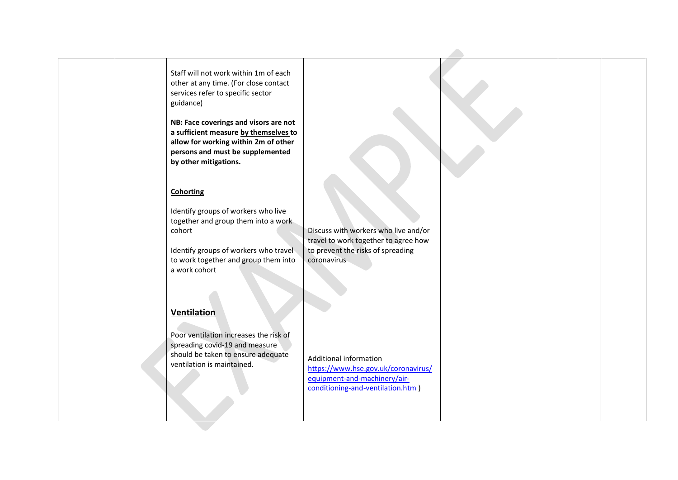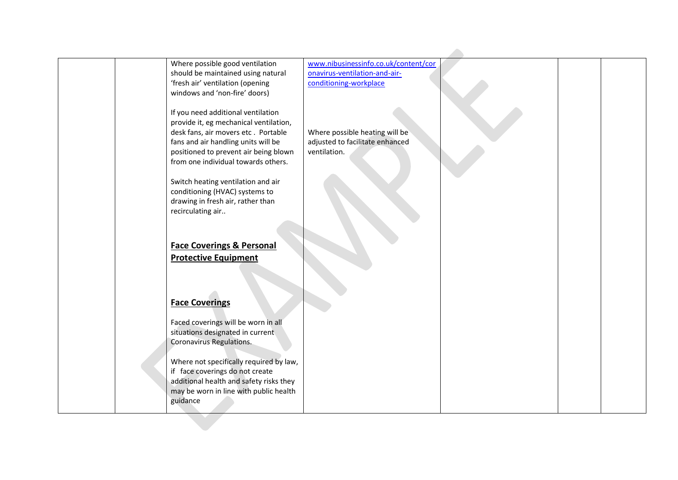| Where possible good ventilation<br>should be maintained using natural<br>'fresh air' ventilation (opening<br>windows and 'non-fire' doors)                                                                                                 | www.nibusinessinfo.co.uk/content/cor<br>onavirus-ventilation-and-air-<br>conditioning-workplace |
|--------------------------------------------------------------------------------------------------------------------------------------------------------------------------------------------------------------------------------------------|-------------------------------------------------------------------------------------------------|
| If you need additional ventilation<br>provide it, eg mechanical ventilation,<br>desk fans, air movers etc. Portable<br>fans and air handling units will be<br>positioned to prevent air being blown<br>from one individual towards others. | Where possible heating will be<br>adjusted to facilitate enhanced<br>ventilation.               |
| Switch heating ventilation and air<br>conditioning (HVAC) systems to<br>drawing in fresh air, rather than<br>recirculating air                                                                                                             |                                                                                                 |
| <b>Face Coverings &amp; Personal</b><br><b>Protective Equipment</b>                                                                                                                                                                        |                                                                                                 |
| <b>Face Coverings</b><br>Faced coverings will be worn in all<br>situations designated in current<br>Coronavirus Regulations.                                                                                                               |                                                                                                 |
| Where not specifically required by law,<br>if face coverings do not create<br>additional health and safety risks they<br>may be worn in line with public health<br>guidance                                                                |                                                                                                 |
|                                                                                                                                                                                                                                            |                                                                                                 |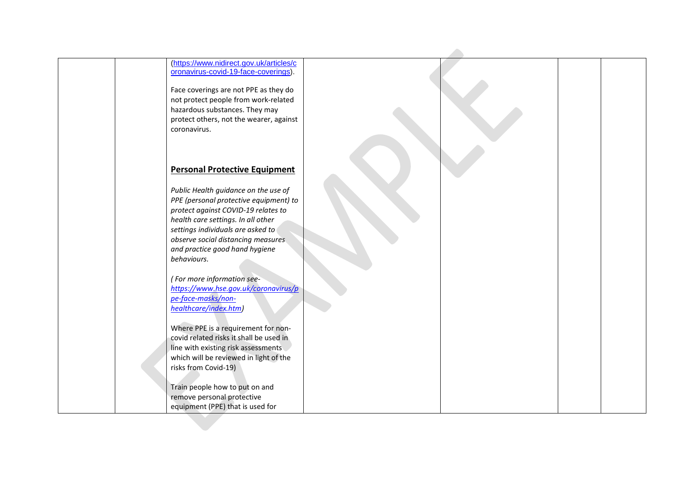|              | (https://www.nidirect.gov.uk/articles/c<br>oronavirus-covid-19-face-coverings).                                     |  |  |
|--------------|---------------------------------------------------------------------------------------------------------------------|--|--|
|              | Face coverings are not PPE as they do<br>not protect people from work-related                                       |  |  |
|              | hazardous substances. They may<br>protect others, not the wearer, against                                           |  |  |
| coronavirus. |                                                                                                                     |  |  |
|              | <b>Personal Protective Equipment</b>                                                                                |  |  |
|              | Public Health guidance on the use of                                                                                |  |  |
|              | PPE (personal protective equipment) to<br>protect against COVID-19 relates to<br>health care settings. In all other |  |  |
|              | settings individuals are asked to<br>observe social distancing measures                                             |  |  |
| behaviours.  | and practice good hand hygiene                                                                                      |  |  |
|              | (For more information see-                                                                                          |  |  |
|              | https://www.hse.gov.uk/coronavirus/p<br>pe-face-masks/non-<br>healthcare/index.htm)                                 |  |  |
|              | Where PPE is a requirement for non-                                                                                 |  |  |
|              | covid related risks it shall be used in<br>line with existing risk assessments                                      |  |  |
|              | which will be reviewed in light of the<br>risks from Covid-19)                                                      |  |  |
|              | Train people how to put on and                                                                                      |  |  |
|              | remove personal protective<br>equipment (PPE) that is used for                                                      |  |  |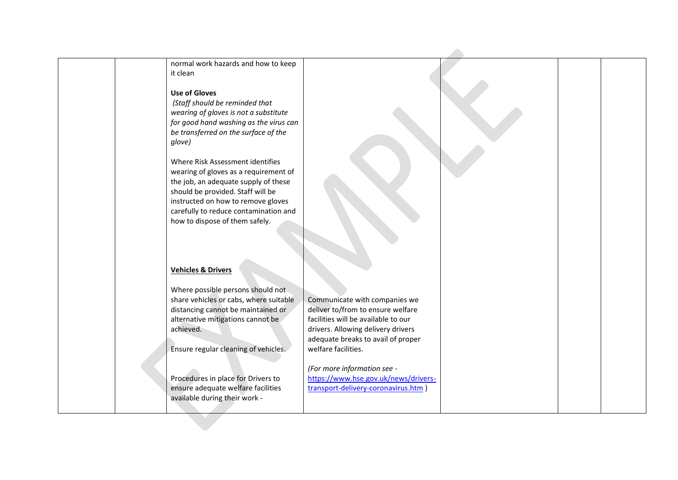| normal work hazards and how to keep            |                                                                          |  |  |
|------------------------------------------------|--------------------------------------------------------------------------|--|--|
| it clean                                       |                                                                          |  |  |
| <b>Use of Gloves</b>                           |                                                                          |  |  |
| (Staff should be reminded that                 |                                                                          |  |  |
| wearing of gloves is not a substitute          |                                                                          |  |  |
| for good hand washing as the virus can         |                                                                          |  |  |
| be transferred on the surface of the           |                                                                          |  |  |
| glove)                                         |                                                                          |  |  |
|                                                |                                                                          |  |  |
| Where Risk Assessment identifies               |                                                                          |  |  |
| wearing of gloves as a requirement of          |                                                                          |  |  |
| the job, an adequate supply of these           |                                                                          |  |  |
| should be provided. Staff will be              |                                                                          |  |  |
| instructed on how to remove gloves             |                                                                          |  |  |
| carefully to reduce contamination and          |                                                                          |  |  |
| how to dispose of them safely.                 |                                                                          |  |  |
|                                                |                                                                          |  |  |
|                                                |                                                                          |  |  |
|                                                |                                                                          |  |  |
| <b>Vehicles &amp; Drivers</b>                  |                                                                          |  |  |
|                                                |                                                                          |  |  |
| Where possible persons should not              |                                                                          |  |  |
| share vehicles or cabs, where suitable         | Communicate with companies we                                            |  |  |
| distancing cannot be maintained or             | deliver to/from to ensure welfare                                        |  |  |
| alternative mitigations cannot be<br>achieved. | facilities will be available to our                                      |  |  |
|                                                | drivers. Allowing delivery drivers<br>adequate breaks to avail of proper |  |  |
| Ensure regular cleaning of vehicles.           | welfare facilities.                                                      |  |  |
|                                                |                                                                          |  |  |
|                                                | (For more information see -                                              |  |  |
| Procedures in place for Drivers to             | https://www.hse.gov.uk/news/drivers-                                     |  |  |
| ensure adequate welfare facilities             | transport-delivery-coronavirus.htm)                                      |  |  |
| available during their work -                  |                                                                          |  |  |
|                                                |                                                                          |  |  |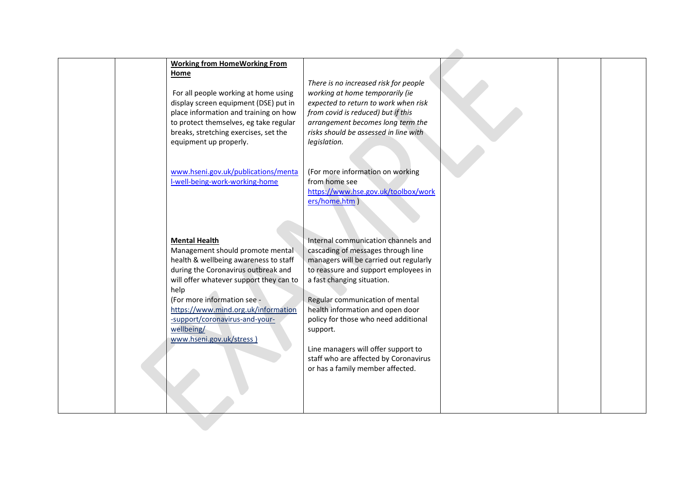| There is no increased risk for people<br>For all people working at home using<br>working at home temporarily (ie<br>expected to return to work when risk<br>display screen equipment (DSE) put in<br>from covid is reduced) but if this<br>place information and training on how<br>to protect themselves, eg take regular<br>arrangement becomes long term the<br>risks should be assessed in line with<br>legislation. |                                                                                                                                |
|--------------------------------------------------------------------------------------------------------------------------------------------------------------------------------------------------------------------------------------------------------------------------------------------------------------------------------------------------------------------------------------------------------------------------|--------------------------------------------------------------------------------------------------------------------------------|
|                                                                                                                                                                                                                                                                                                                                                                                                                          |                                                                                                                                |
|                                                                                                                                                                                                                                                                                                                                                                                                                          |                                                                                                                                |
|                                                                                                                                                                                                                                                                                                                                                                                                                          |                                                                                                                                |
|                                                                                                                                                                                                                                                                                                                                                                                                                          |                                                                                                                                |
|                                                                                                                                                                                                                                                                                                                                                                                                                          |                                                                                                                                |
|                                                                                                                                                                                                                                                                                                                                                                                                                          |                                                                                                                                |
|                                                                                                                                                                                                                                                                                                                                                                                                                          |                                                                                                                                |
|                                                                                                                                                                                                                                                                                                                                                                                                                          |                                                                                                                                |
|                                                                                                                                                                                                                                                                                                                                                                                                                          |                                                                                                                                |
|                                                                                                                                                                                                                                                                                                                                                                                                                          |                                                                                                                                |
|                                                                                                                                                                                                                                                                                                                                                                                                                          |                                                                                                                                |
| from home see                                                                                                                                                                                                                                                                                                                                                                                                            |                                                                                                                                |
| https://www.hse.gov.uk/toolbox/work                                                                                                                                                                                                                                                                                                                                                                                      |                                                                                                                                |
|                                                                                                                                                                                                                                                                                                                                                                                                                          |                                                                                                                                |
|                                                                                                                                                                                                                                                                                                                                                                                                                          |                                                                                                                                |
|                                                                                                                                                                                                                                                                                                                                                                                                                          |                                                                                                                                |
|                                                                                                                                                                                                                                                                                                                                                                                                                          |                                                                                                                                |
| Internal communication channels and                                                                                                                                                                                                                                                                                                                                                                                      |                                                                                                                                |
| Management should promote mental                                                                                                                                                                                                                                                                                                                                                                                         |                                                                                                                                |
| health & wellbeing awareness to staff<br>managers will be carried out regularly                                                                                                                                                                                                                                                                                                                                          |                                                                                                                                |
| during the Coronavirus outbreak and<br>to reassure and support employees in                                                                                                                                                                                                                                                                                                                                              |                                                                                                                                |
| will offer whatever support they can to<br>a fast changing situation.                                                                                                                                                                                                                                                                                                                                                    |                                                                                                                                |
|                                                                                                                                                                                                                                                                                                                                                                                                                          |                                                                                                                                |
| Regular communication of mental                                                                                                                                                                                                                                                                                                                                                                                          |                                                                                                                                |
| https://www.mind.org.uk/information<br>health information and open door                                                                                                                                                                                                                                                                                                                                                  |                                                                                                                                |
| policy for those who need additional                                                                                                                                                                                                                                                                                                                                                                                     |                                                                                                                                |
| support.                                                                                                                                                                                                                                                                                                                                                                                                                 |                                                                                                                                |
|                                                                                                                                                                                                                                                                                                                                                                                                                          |                                                                                                                                |
| Line managers will offer support to                                                                                                                                                                                                                                                                                                                                                                                      |                                                                                                                                |
| staff who are affected by Coronavirus                                                                                                                                                                                                                                                                                                                                                                                    |                                                                                                                                |
| or has a family member affected.                                                                                                                                                                                                                                                                                                                                                                                         |                                                                                                                                |
|                                                                                                                                                                                                                                                                                                                                                                                                                          |                                                                                                                                |
|                                                                                                                                                                                                                                                                                                                                                                                                                          |                                                                                                                                |
|                                                                                                                                                                                                                                                                                                                                                                                                                          |                                                                                                                                |
|                                                                                                                                                                                                                                                                                                                                                                                                                          |                                                                                                                                |
|                                                                                                                                                                                                                                                                                                                                                                                                                          | (For more information on working<br>www.hseni.gov.uk/publications/menta<br>ers/home.htm)<br>cascading of messages through line |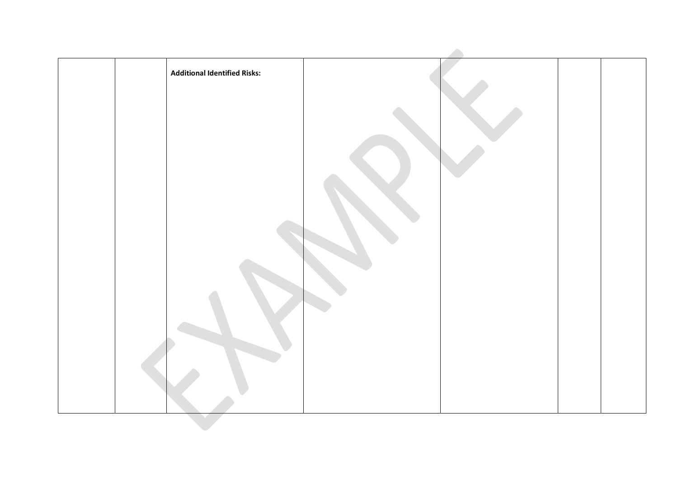